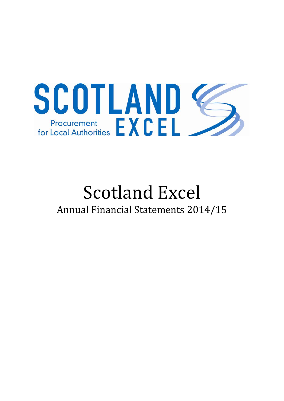

# Scotland Excel Annual Financial Statements 2014/15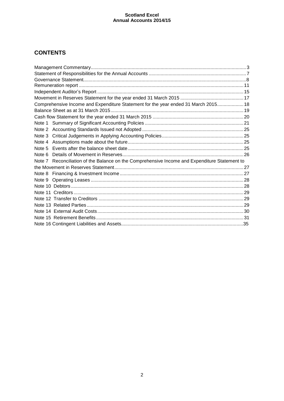# **CONTENTS**

| Comprehensive Income and Expenditure Statement for the year ended 31 March 2015 18            |  |
|-----------------------------------------------------------------------------------------------|--|
|                                                                                               |  |
|                                                                                               |  |
|                                                                                               |  |
|                                                                                               |  |
|                                                                                               |  |
|                                                                                               |  |
|                                                                                               |  |
|                                                                                               |  |
| Note 7 Reconciliation of the Balance on the Comprehensive Income and Expenditure Statement to |  |
|                                                                                               |  |
|                                                                                               |  |
|                                                                                               |  |
|                                                                                               |  |
|                                                                                               |  |
|                                                                                               |  |
|                                                                                               |  |
|                                                                                               |  |
|                                                                                               |  |
|                                                                                               |  |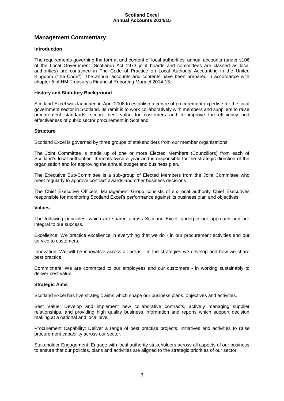# **Management Commentary**

#### **Introduction**

The requirements governing the format and content of local authorities' annual accounts (under s106 of the Local Government (Scotland) Act 1973 joint boards and committees are classed as local authorities) are contained in The Code of Practice on Local Authority Accounting in the United Kingdom ("the Code"). The annual accounts and contents have been prepared in accordance with chapter 5 of HM Treasury's Financial Reporting Manuel 2014-15.

#### **History and Statutory Background**

Scotland Excel was launched in April 2008 to establish a centre of procurement expertise for the local government sector in Scotland. Its remit is to work collaboratively with members and suppliers to raise procurement standards, secure best value for customers and to improve the efficiency and effectiveness of public sector procurement in Scotland.

#### **Structure**

Scotland Excel is governed by three groups of stakeholders from our member organisations:

The Joint Committee is made up of one or more Elected Members (Councillors) from each of Scotland's local authorities. It meets twice a year and is responsible for the strategic direction of the organisation and for approving the annual budget and business plan.

The Executive Sub-Committee is a sub-group of Elected Members from the Joint Committee who meet regularly to approve contract awards and other business decisions.

The Chief Executive Officers' Management Group consists of six local authority Chief Executives responsible for monitoring Scotland Excel's performance against its business plan and objectives.

#### **Values**

The following principles, which are shared across Scotland Excel, underpin our approach and are integral to our success.

Excellence: We practice excellence in everything that we do - in our procurement activities and our service to customers.

Innovation: We will be innovative across all areas - in the strategies we develop and how we share best practice.

Commitment: We are committed to our employees and our customers - in working sustainably to deliver best value.

#### **Strategic Aims**

Scotland Excel has five strategic aims which shape our business plans, objectives and activities.

Best Value: Develop and implement new collaborative contracts, actively managing supplier relationships, and providing high quality business information and reports which support decision making at a national and local level.

Procurement Capability: Deliver a range of best practise projects, initiatives and activities to raise procurement capability across our sector.

Stakeholder Engagement: Engage with local authority stakeholders across all aspects of our business to ensure that our policies, plans and activities are aligned to the strategic priorities of our sector.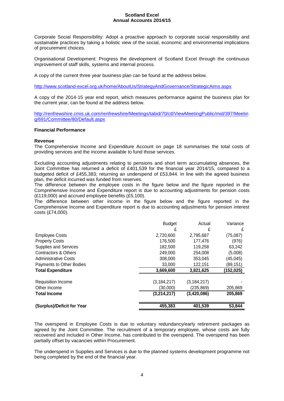Corporate Social Responsibility: Adopt a proactive approach to corporate social responsibility and sustainable practices by taking a holistic view of the social, economic and environmental implications of procurement choices.

Organisational Development: Progress the development of Scotland Excel through the continuous improvement of staff skills, systems and internal process.

A copy of the current three year business plan can be found at the address below.

<http://www.scotland-excel.org.uk/home/AboutUs/StrategyAndGovernance/StrategicAims.aspx>

A copy of the 2014-15 year end report, which measures performance against the business plan for the current year, can be found at the address below.

[http://renfrewshire.cmis.uk.com/renfrewshire/Meetings/tabid/70/ctl/ViewMeetingPublic/mid/397/Meetin](http://renfrewshire.cmis.uk.com/renfrewshire/Meetings/tabid/70/ctl/ViewMeetingPublic/mid/397/Meeting/691/Committee/80/Default.aspx) [g/691/Committee/80/Default.aspx](http://renfrewshire.cmis.uk.com/renfrewshire/Meetings/tabid/70/ctl/ViewMeetingPublic/mid/397/Meeting/691/Committee/80/Default.aspx)

#### **Financial Performance**

#### **Revenue**

The Comprehensive Income and Expenditure Account on page 18 summarises the total costs of providing services and the income available to fund those services.

Excluding accounting adjustments relating to pensions and short term accumulating absences, the Joint Committee has returned a deficit of £401,539 for the financial year 2014/15, compared to a budgeted deficit of £455,383; returning an underspend of £53,844. In line with the agreed business plan, the deficit incurred was funded from reserves.

The difference between the employee costs in the figure below and the figure reported in the Comprehensive Income and Expenditure report is due to accounting adjustments for pension costs (£119,000) and accrued employee benefits (£5,100).

The difference between other income in the figure below and the figure reported in the Comprehensive Income and Expenditure report is due to accounting adjustments for pension interest costs (£74,000).

|                              | <b>Budget</b> | Actual        | Variance  |
|------------------------------|---------------|---------------|-----------|
|                              | £             | £             | £         |
| <b>Employee Costs</b>        | 2,720,600     | 2,795,687     | (75,087)  |
| <b>Property Costs</b>        | 176,500       | 177,476       | (976)     |
| <b>Supplies and Services</b> | 182,500       | 119,258       | 63,242    |
| Contractors & Others         | 249,000       | 254.008       | (5,008)   |
| <b>Administrative Costs</b>  | 308,000       | 353.045       | (45, 045) |
| Payments to Other Bodies     | 33,000        | 122,151       | (89,151)  |
| <b>Total Expenditure</b>     | 3,669,600     | 3,821,625     | (152,025) |
| <b>Requisition Income</b>    | (3, 184, 217) | (3, 184, 217) |           |
| Other Income                 | (30,000)      | (235,869)     | 205,869   |
| <b>Total Income</b>          | (3,214,217)   | (3,420,086)   | 205,869   |
| (Surplus)/Deficit for Year   | 455,383       | 401,539       | 53,844    |

The overspend in Employee Costs is due to voluntary redundancy/early retirement packages as agreed by the Joint Committee. The recruitment of a temporary employee, whose costs are fully recovered and included in Other Income, has contributed to the overspend. The overspend has been partially offset by vacancies within Procurement.

The underspend in Supplies and Services is due to the planned systems development programme not being completed by the end of the financial year.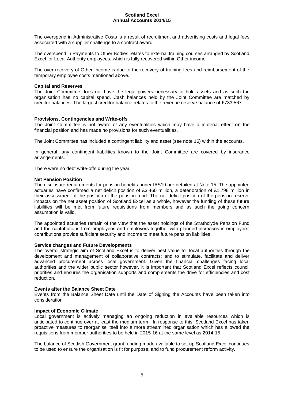The overspend in Administrative Costs is a result of recruitment and advertising costs and legal fees associated with a supplier challenge to a contract award.

The overspend in Payments to Other Bodies relates to external training courses arranged by Scotland Excel for Local Authority employees, which is fully recovered within Other income

The over recovery of Other Income is due to the recovery of training fees and reimbursement of the temporary employee costs mentioned above.

#### **Capital and Reserves**

The Joint Committee does not have the legal powers necessary to hold assets and as such the organisation has no capital spend. Cash balances held by the Joint Committee are matched by creditor balances. The largest creditor balance relates to the revenue reserve balance of £733,567.

#### **Provisions, Contingencies and Write-offs**

The Joint Committee is not aware of any eventualities which may have a material effect on the financial position and has made no provisions for such eventualities.

The Joint Committee has included a contingent liability and asset (see note 16) within the accounts.

In general, any contingent liabilities known to the Joint Committee are covered by insurance arrangements.

There were no debt write-offs during the year.

#### **Net Pension Position**

The disclosure requirements for pension benefits under IAS19 are detailed at Note 15. The appointed actuaries have confirmed a net deficit position of £3.460 million, a deterioration of £1.798 million in their assessment of the position of the pension fund. The net deficit position of the pension reserve impacts on the net asset position of Scotland Excel as a whole, however the funding of these future liabilities will be met from future requisitions from members and as such the going concern assumption is valid.

The appointed actuaries remain of the view that the asset holdings of the Strathclyde Pension Fund and the contributions from employees and employers together with planned increases in employers' contributions provide sufficient security and income to meet future pension liabilities.

#### **Service changes and Future Developments**

The overall strategic aim of Scotland Excel is to deliver best value for local authorities through the development and management of collaborative contracts; and to stimulate, facilitate and deliver advanced procurement across local government. Given the financial challenges facing local authorities and the wider public sector however, it is important that Scotland Excel reflects council priorities and ensures the organisation supports and complements the drive for efficiencies and cost reduction**.**

#### **Events after the Balance Sheet Date**

Events from the Balance Sheet Date until the Date of Signing the Accounts have been taken into consideration

#### **Impact of Economic Climate**

Local government is actively managing an ongoing reduction in available resources which is anticipated to continue over at least the medium term. In response to this, Scotland Excel has taken proactive measures to reorganise itself into a more streamlined organisation which has allowed the requisitions from member authorities to be held in 2015-16 at the same level as 2014-15

The balance of Scottish Government grant funding made available to set up Scotland Excel continues to be used to ensure the organisation is fit for purpose; and to fund procurement reform activity.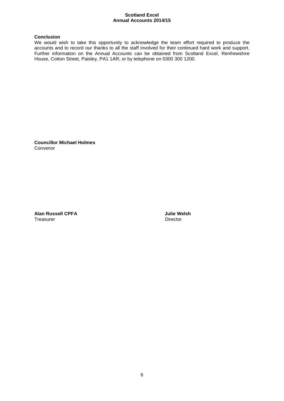#### **Conclusion**

We would wish to take this opportunity to acknowledge the team effort required to produce the accounts and to record our thanks to all the staff involved for their continued hard work and support. Further information on the Annual Accounts can be obtained from Scotland Excel, Renfrewshire House, Cotton Street, Paisley, PA1 1AR; or by telephone on 0300 300 1200.

**Councillor Michael Holmes**  Convenor

**Alan Russell CPFA Julie Welsh**  Treasurer **Director** Director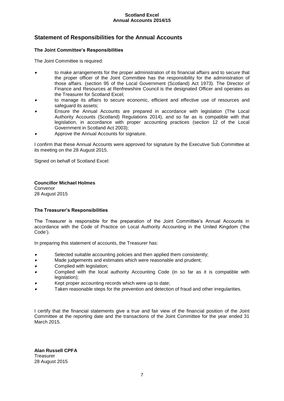# <span id="page-6-0"></span>**Statement of Responsibilities for the Annual Accounts**

#### **The Joint Committee's Responsibilities**

The Joint Committee is required:

- 0 to make arrangements for the proper administration of its financial affairs and to secure that the proper officer of the Joint Committee has the responsibility for the administration of those affairs. (section 95 of the Local Government (Scotland) Act 1973). The Director of Finance and Resources at Renfrewshire Council is the designated Officer and operates as the Treasurer for Scotland Excel;
- 0 to manage its affairs to secure economic, efficient and effective use of resources and safeguard its assets;
- . Ensure the Annual Accounts are prepared in accordance with legislation (The Local Authority Accounts (Scotland) Regulations 2014), and so far as is compatible with that legislation, in accordance with proper accounting practices (section 12 of the Local Government in Scotland Act 2003);
- 0 Approve the Annual Accounts for signature.

I confirm that these Annual Accounts were approved for signature by the Executive Sub Committee at its meeting on the 28 August 2015.

Signed on behalf of Scotland Excel:

**Councillor Michael Holmes** Convenor 28 August 2015

#### **The Treasurer's Responsibilities**

The Treasurer is responsible for the preparation of the Joint Committee's Annual Accounts in accordance with the Code of Practice on Local Authority Accounting in the United Kingdom ('the Code').

In preparing this statement of accounts, the Treasurer has:

- 0 Selected suitable accounting policies and then applied them consistently;
- 0 Made judgements and estimates which were reasonable and prudent;
- . Complied with legislation;
- 0 Complied with the local authority Accounting Code (in so far as it is compatible with legislation);
- . Kept proper accounting records which were up to date;
- 0 Taken reasonable steps for the prevention and detection of fraud and other irregularities.

I certify that the financial statements give a true and fair view of the financial position of the Joint Committee at the reporting date and the transactions of the Joint Committee for the year ended 31 March 2015.

**Alan Russell CPFA Treasurer** 28 August 2015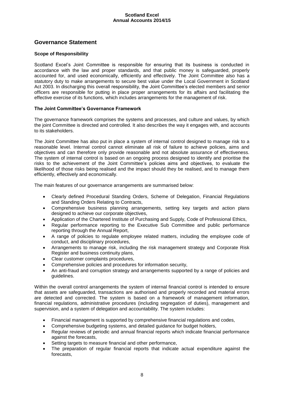# **Governance Statement**

#### <span id="page-7-0"></span>**Scope of Responsibility**

Scotland Excel's Joint Committee is responsible for ensuring that its business is conducted in accordance with the law and proper standards, and that public money is safeguarded, properly accounted for, and used economically, efficiently and effectively. The Joint Committee also has a statutory duty to make arrangements to secure best value under the Local Government in Scotland Act 2003. In discharging this overall responsibility, the Joint Committee's elected members and senior officers are responsible for putting in place proper arrangements for its affairs and facilitating the effective exercise of its functions, which includes arrangements for the management of risk.

#### **The Joint Committee's Governance Framework**

The governance framework comprises the systems and processes, and culture and values, by which the joint Committee is directed and controlled. It also describes the way it engages with, and accounts to its stakeholders.

The Joint Committee has also put in place a system of internal control designed to manage risk to a reasonable level. Internal control cannot eliminate all risk of failure to achieve policies, aims and objectives and can therefore only provide reasonable and not absolute assurance of effectiveness. The system of internal control is based on an ongoing process designed to identify and prioritise the risks to the achievement of the Joint Committee's policies aims and objectives, to evaluate the likelihood of those risks being realised and the impact should they be realised, and to manage them efficiently, effectively and economically.

The main features of our governance arrangements are summarised below:

- Clearly defined Procedural Standing Orders, Scheme of Delegation, Financial Regulations and Standing Orders Relating to Contracts,
- Comprehensive business planning arrangements, setting key targets and action plans designed to achieve our corporate objectives,
- Application of the Chartered Institute of Purchasing and Supply, Code of Professional Ethics,
- Regular performance reporting to the Executive Sub Committee and public performance reporting through the Annual Report,
- A range of policies to regulate employee related matters, including the employee code of conduct, and disciplinary procedures,
- Arrangements to manage risk, including the risk management strategy and Corporate Risk Register and business continuity plans,
- Clear customer complaints procedures,
- Comprehensive policies and procedures for information security,
- An anti-fraud and corruption strategy and arrangements supported by a range of policies and guidelines.

Within the overall control arrangements the system of internal financial control is intended to ensure that assets are safeguarded, transactions are authorised and properly recorded and material errors are detected and corrected. The system is based on a framework of management information, financial regulations, administrative procedures (including segregation of duties), management and supervision, and a system of delegation and accountability. The system includes:

- Financial management is supported by comprehensive financial regulations and codes,
- Comprehensive budgeting systems, and detailed guidance for budget holders,
- Regular reviews of periodic and annual financial reports which indicate financial performance against the forecasts,
- Setting targets to measure financial and other performance,
- The preparation of regular financial reports that indicate actual expenditure against the forecasts,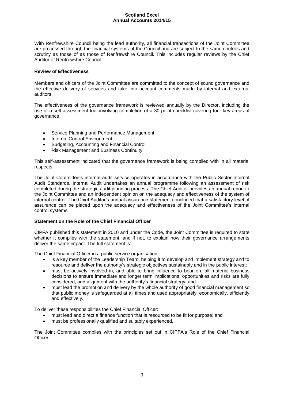With Renfrewshire Council being the lead authority, all financial transactions of the Joint Committee are processed through the financial systems of the Council and are subject to the same controls and scrutiny as those of as those of Renfrewshire Council. This includes regular reviews by the Chief Auditor of Renfrewshire Council.

#### **Review of Effectiveness**

Members and officers of the Joint Committee are committed to the concept of sound governance and the effective delivery of services and take into account comments made by internal and external auditors.

The effectiveness of the governance framework is reviewed annually by the Director, including the use of a self-assessment tool involving completion of a 30 point checklist covering four key areas of governance.

- Service Planning and Performance Management
- Internal Control Environment
- Budgeting, Accounting and Financial Control
- Risk Management and Business Continuity

This self-assessment indicated that the governance framework is being complied with in all material respects.

The Joint Committee's internal audit service operates in accordance with the Public Sector Internal Audit Standards. Internal Audit undertakes an annual programme following an assessment of risk completed during the strategic audit planning process. The Chief Auditor provides an annual report to the Joint Committee and an independent opinion on the adequacy and effectiveness of the system of internal control. The Chief Auditor's annual assurance statement concluded that a satisfactory level of assurance can be placed upon the adequacy and effectiveness of the Joint Committee's internal control systems.

### **Statement on the Role of the Chief Financial Officer**

CIPFA published this statement in 2010 and under the Code, the Joint Committee is required to state whether it complies with the statement, and if not, to explain how their governance arrangements deliver the same impact. The full statement is:

The Chief Financial Officer in a public service organisation:

- is a key member of the Leadership Team, helping it to develop and implement strategy and to resource and deliver the authority's strategic objectives sustainably and in the public interest;
- must be actively involved in, and able to bring influence to bear on, all material business decisions to ensure immediate and longer term implications, opportunities and risks are fully considered, and alignment with the authority's financial strategy; and
- must lead the promotion and delivery by the whole authority of good financial management so that public money is safeguarded at all times and used appropriately, economically, efficiently and effectively.

To deliver these responsibilities the Chief Financial Officer:

- must lead and direct a finance function that is resourced to be fit for purpose; and
- must be professionally qualified and suitably experienced.

The Joint Committee complies with the principles set out in CIPFA's Role of the Chief Financial **Officer**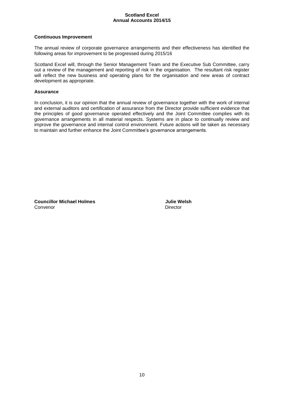#### **Continuous Improvement**

The annual review of corporate governance arrangements and their effectiveness has identified the following areas for improvement to be progressed during 2015/16

Scotland Excel will, through the Senior Management Team and the Executive Sub Committee, carry out a review of the management and reporting of risk in the organisation. The resultant risk register will reflect the new business and operating plans for the organisation and new areas of contract development as appropriate.

#### **Assurance**

In conclusion, it is our opinion that the annual review of governance together with the work of internal and external auditors and certification of assurance from the Director provide sufficient evidence that the principles of good governance operated effectively and the Joint Committee complies with its governance arrangements in all material respects. Systems are in place to continually review and improve the governance and internal control environment. Future actions will be taken as necessary to maintain and further enhance the Joint Committee's governance arrangements.

**Councillor Michael Holmes Julie Welsh** Convenor **Director** Director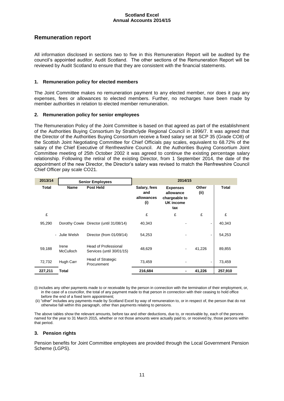# **Remuneration report**

All information disclosed in sections two to five in this Remuneration Report will be audited by the council's appointed auditor, Audit Scotland. The other sections of the Remuneration Report will be reviewed by Audit Scotland to ensure that they are consistent with the financial statements.

#### **1. Remuneration policy for elected members**

The Joint Committee makes no remuneration payment to any elected member, nor does it pay any expenses, fees or allowances to elected members. Further, no recharges have been made by member authorities in relation to elected member remuneration.

#### **2. Remuneration policy for senior employees**

The Remuneration Policy of the Joint Committee is based on that agreed as part of the establishment of the Authorities Buying Consortium by Strathclyde Regional Council in 1996/7. It was agreed that the Director of the Authorities Buying Consortium receive a fixed salary set at SCP 35 (Grade CO8) of the Scottish Joint Negotiating Committee for Chief Officials pay scales, equivalent to 68.72% of the salary of the Chief Executive of Renfrewshire Council. At the Authorities Buying Consortium Joint Committee meeting of 25th October 2002 it was agreed to continue the existing percentage salary relationship. Following the retiral of the existing Director, from 1 September 2014, the date of the appointment of the new Director, the Director's salary was revised to match the Renfrewshire Council Chief Officer pay scale CO21.

| 2013/14 | <b>Senior Employees</b>   |                                                   | 2014/15                                  |                                                                   |               |              |
|---------|---------------------------|---------------------------------------------------|------------------------------------------|-------------------------------------------------------------------|---------------|--------------|
| Total   | <b>Name</b>               | <b>Post Held</b>                                  | Salary, fees<br>and<br>allowances<br>(i) | <b>Expenses</b><br>allowance<br>chargeable to<br>UK income<br>tax | Other<br>(ii) | <b>Total</b> |
| £       |                           |                                                   | £                                        | £                                                                 | £             | £            |
| 95,290  |                           | Dorothy Cowie Director (until 31/08/14)           | 40,343                                   |                                                                   |               | 40,343       |
|         | - Julie Welsh             | Director (from 01/09/14)                          | 54,253                                   |                                                                   |               | 54,253       |
| 59,188  | Irene<br><b>McCulloch</b> | Head of Professional<br>Services (until 30/01/15) | 48,629                                   |                                                                   | 41,226        | 89,855       |
| 72,732  | Hugh Carr                 | <b>Head of Strategic</b><br>Procurement           | 73,459                                   |                                                                   |               | 73,459       |
| 227,211 | Total                     |                                                   | 216,684                                  |                                                                   | 41,226        | 257,910      |

(i) includes any other payments made to or receivable by the person in connection with the termination of their employment, or, in the case of a councillor, the total of any payment made to that person in connection with their ceasing to hold office before the end of a fixed term appointment;

(ii) "other" includes any payments made by Scotland Excel by way of remuneration to, or in respect of, the person that do not otherwise fall within this paragraph, other than payments relating to pensions.

The above tables show the relevant amounts, before tax and other deductions, due to, or receivable by, each of the persons named for the year to 31 March 2015, whether or not those amounts were actually paid to, or received by, those persons within that period.

#### **3. Pension rights**

Pension benefits for Joint Committee employees are provided through the Local Government Pension Scheme (LGPS).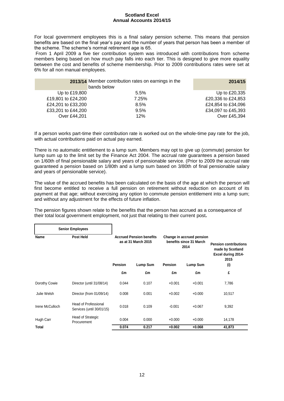For local government employees this is a final salary pension scheme. This means that pension benefits are based on the final year's pay and the number of years that person has been a member of the scheme. The scheme's normal retirement age is 65.

From 1 April 2009 a five tier contribution system was introduced with contributions from scheme members being based on how much pay falls into each tier. This is designed to give more equality between the cost and benefits of scheme membership. Prior to 2009 contributions rates were set at 6% for all non manual employees.

|                    | 2013/14 Member contribution rates on earnings in the<br>bands below | 2014/15            |
|--------------------|---------------------------------------------------------------------|--------------------|
| Up to £19,800      | $5.5\%$                                                             | Up to £20,335      |
| £19,801 to £24,200 | 7.25%                                                               | £20,336 to £24,853 |
| £24,201 to £33,200 | 8.5%                                                                | £24,854 to £34,096 |
| £33,201 to £44,200 | 9.5%                                                                | £34,097 to £45,393 |
| Over £44,201       | 12%                                                                 | Over £45,394       |

If a person works part-time their contribution rate is worked out on the whole-time pay rate for the job, with actual contributions paid on actual pay earned.

There is no automatic entitlement to a lump sum. Members may opt to give up (commute) pension for lump sum up to the limit set by the Finance Act 2004. The accrual rate guarantees a pension based on 1/60th of final pensionable salary and years of pensionable service. (Prior to 2009 the accrual rate guaranteed a pension based on 1/80th and a lump sum based on 3/80th of final pensionable salary and years of pensionable service).

The value of the accrued benefits has been calculated on the basis of the age at which the person will first become entitled to receive a full pension on retirement without reduction on account of its payment at that age; without exercising any option to commute pension entitlement into a lump sum; and without any adjustment for the effects of future inflation.

The pension figures shown relate to the benefits that the person has accrued as a consequence of their total local government employment, not just that relating to their current post**.**

|                 | <b>Senior Employees</b>                                  |                |                                                                                                                                |                |                                                                        |        |
|-----------------|----------------------------------------------------------|----------------|--------------------------------------------------------------------------------------------------------------------------------|----------------|------------------------------------------------------------------------|--------|
| Name            | Post Held                                                |                | <b>Accrued Pension benefits</b><br>Change in accrued pension<br>benefits since 31 March<br>as at 31 March 2015<br>2014<br>2015 |                | <b>Pension contributions</b><br>made by Scotland<br>Excel during 2014- |        |
|                 |                                                          | <b>Pension</b> | Lump Sum                                                                                                                       | <b>Pension</b> | Lump Sum                                                               | (i)    |
|                 |                                                          | £m             | £m                                                                                                                             | £m             | £m                                                                     | £      |
| Dorothy Cowie   | Director (until 31/08/14)                                | 0.044          | 0.107                                                                                                                          | $+0.001$       | $+0.001$                                                               | 7,786  |
| Julie Welsh     | Director (from 01/09/14)                                 | 0.008          | 0.001                                                                                                                          | $+0.002$       | $+0.000$                                                               | 10,517 |
| Irene McCulloch | <b>Head of Professional</b><br>Services (until 30/01/15) | 0.018          | 0.109                                                                                                                          | $-0.001$       | $+0.067$                                                               | 9,392  |
| Hugh Carr       | Head of Strategic<br>Procurement                         | 0.004          | 0.000                                                                                                                          | $+0.000$       | $+0.000$                                                               | 14,178 |
| Total           |                                                          | 0.074          | 0.217                                                                                                                          | $+0.002$       | $+0.068$                                                               | 41,873 |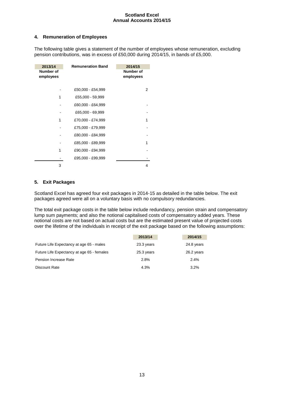#### **4. Remuneration of Employees**

The following table gives a statement of the number of employees whose remuneration, excluding pension contributions, was in excess of £50,000 during 2014/15, in bands of £5,000.

| 2013/14<br>Number of<br>employees | <b>Remuneration Band</b> | 2014/15<br><b>Number of</b><br>employees |
|-----------------------------------|--------------------------|------------------------------------------|
|                                   | £50,000 - £54,999        | 2                                        |
|                                   | £55,000 - 59,999         |                                          |
|                                   | £60,000 - £64,999        |                                          |
|                                   | £65,000 - 69,999         |                                          |
|                                   | £70,000 - £74,999        | 1                                        |
|                                   | £75,000 - £79,999        |                                          |
|                                   | £80,000 - £84,999        |                                          |
|                                   | £85,000 - £89,999        | 1                                        |
|                                   | £90,000 - £94,999        |                                          |
|                                   | £95,000 - £99,999        |                                          |
| 3                                 |                          | 4                                        |

#### **5. Exit Packages**

Scotland Excel has agreed four exit packages in 2014-15 as detailed in the table below. The exit packages agreed were all on a voluntary basis with no compulsory redundancies.

The total exit package costs in the table below include redundancy, pension strain and compensatory lump sum payments; and also the notional capitalised costs of compensatory added years. These notional costs are not based on actual costs but are the estimated present value of projected costs over the lifetime of the individuals in receipt of the exit package based on the following assumptions:

|                                            | 2013/14    | 2014/15    |
|--------------------------------------------|------------|------------|
| Future Life Expectancy at age 65 - males   | 23.3 years | 24.8 years |
| Future Life Expectancy at age 65 - females | 25.3 years | 26.2 years |
| Pension Increase Rate                      | 2.8%       | 2.4%       |
| Discount Rate                              | 4.3%       | 3.2%       |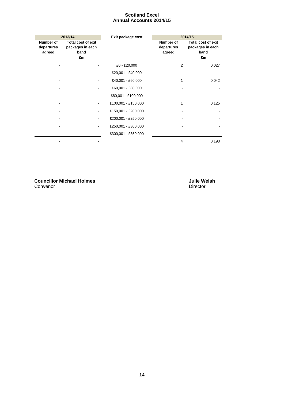|                                   | 2013/14                                                     | Exit package cost   | 2014/15                           |                                                             |
|-----------------------------------|-------------------------------------------------------------|---------------------|-----------------------------------|-------------------------------------------------------------|
| Number of<br>departures<br>agreed | <b>Total cost of exit</b><br>packages in each<br>band<br>£m |                     | Number of<br>departures<br>agreed | <b>Total cost of exit</b><br>packages in each<br>band<br>£m |
|                                   |                                                             | £0 - £20,000        | 2                                 | 0.027                                                       |
|                                   |                                                             | £20,001 - £40,000   |                                   |                                                             |
|                                   |                                                             | £40,001 - £60,000   | 1                                 | 0.042                                                       |
|                                   |                                                             | £60,001 - £80,000   |                                   |                                                             |
|                                   |                                                             | £80,001 - £100,000  |                                   |                                                             |
|                                   |                                                             | £100,001 - £150,000 | 1                                 | 0.125                                                       |
|                                   | $\qquad \qquad \blacksquare$                                | £150,001 - £200,000 |                                   |                                                             |
|                                   |                                                             | £200,001 - £250,000 |                                   |                                                             |
|                                   |                                                             | £250,001 - £300,000 |                                   |                                                             |
|                                   |                                                             | £300,001 - £350,000 |                                   |                                                             |
|                                   |                                                             |                     | 4                                 | 0.193                                                       |

**Councillor Michael Holmes Julie Welsh**<br>
Convenor **Director** Convenor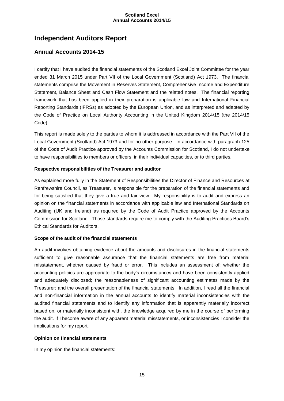# **Independent Auditors Report**

# **Annual Accounts 2014-15**

I certify that I have audited the financial statements of the Scotland Excel Joint Committee for the year ended 31 March 2015 under Part VII of the Local Government (Scotland) Act 1973. The financial statements comprise the Movement in Reserves Statement, Comprehensive Income and Expenditure Statement, Balance Sheet and Cash Flow Statement and the related notes. The financial reporting framework that has been applied in their preparation is applicable law and International Financial Reporting Standards (IFRSs) as adopted by the European Union, and as interpreted and adapted by the Code of Practice on Local Authority Accounting in the United Kingdom 2014/15 (the 2014/15 Code).

This report is made solely to the parties to whom it is addressed in accordance with the Part VII of the Local Government (Scotland) Act 1973 and for no other purpose. In accordance with paragraph 125 of the Code of Audit Practice approved by the Accounts Commission for Scotland, I do not undertake to have responsibilities to members or officers, in their individual capacities, or to third parties.

#### **Respective responsibilities of the Treasurer and auditor**

As explained more fully in the Statement of Responsibilities the Director of Finance and Resources at Renfrewshire Council, as Treasurer, is responsible for the preparation of the financial statements and for being satisfied that they give a true and fair view. My responsibility is to audit and express an opinion on the financial statements in accordance with applicable law and International Standards on Auditing (UK and Ireland) as required by the Code of Audit Practice approved by the Accounts Commission for Scotland. Those standards require me to comply with the Auditing Practices Board's Ethical Standards for Auditors.

#### **Scope of the audit of the financial statements**

An audit involves obtaining evidence about the amounts and disclosures in the financial statements sufficient to give reasonable assurance that the financial statements are free from material misstatement, whether caused by fraud or error. This includes an assessment of: whether the accounting policies are appropriate to the body's circumstances and have been consistently applied and adequately disclosed; the reasonableness of significant accounting estimates made by the Treasurer; and the overall presentation of the financial statements. In addition, I read all the financial and non-financial information in the annual accounts to identify material inconsistencies with the audited financial statements and to identify any information that is apparently materially incorrect based on, or materially inconsistent with, the knowledge acquired by me in the course of performing the audit. If I become aware of any apparent material misstatements, or inconsistencies I consider the implications for my report.

#### **Opinion on financial statements**

In my opinion the financial statements: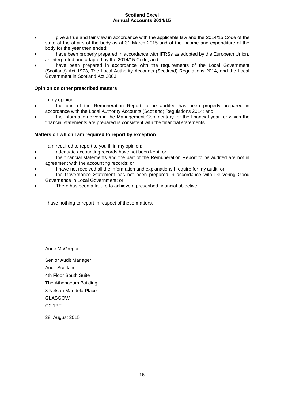- give a true and fair view in accordance with the applicable law and the 2014/15 Code of the state of the affairs of the body as at 31 March 2015 and of the income and expenditure of the body for the year then ended;
- have been properly prepared in accordance with IFRSs as adopted by the European Union, as interpreted and adapted by the 2014/15 Code; and
- have been prepared in accordance with the requirements of the Local Government (Scotland) Act 1973, The Local Authority Accounts (Scotland) Regulations 2014, and the Local Government in Scotland Act 2003.

#### **Opinion on other prescribed matters**

In my opinion:

- the part of the Remuneration Report to be audited has been properly prepared in accordance with the Local Authority Accounts (Scotland) Regulations 2014; and
- the information given in the Management Commentary for the financial year for which the financial statements are prepared is consistent with the financial statements.

#### **Matters on which I am required to report by exception**

I am required to report to you if, in my opinion:

- adequate accounting records have not been kept; or
- the financial statements and the part of the Remuneration Report to be audited are not in agreement with the accounting records; or
- I have not received all the information and explanations I require for my audit; or
- the Governance Statement has not been prepared in accordance with Delivering Good Governance in Local Government; or
- There has been a failure to achieve a prescribed financial objective

I have nothing to report in respect of these matters.

Anne McGregor

Senior Audit Manager Audit Scotland 4th Floor South Suite The Athenaeum Building 8 Nelson Mandela Place GLASGOW G2 1BT

<span id="page-15-0"></span>28 August 2015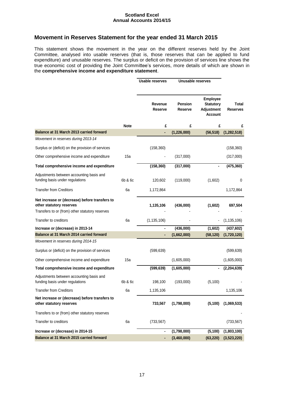# **Movement in Reserves Statement for the year ended 31 March 2015**

This statement shows the movement in the year on the different reserves held by the Joint Committee, analysed into usable reserves (that is, those reserves that can be applied to fund expenditure) and unusable reserves. The surplus or deficit on the provision of services line shows the true economic cost of providing the Joint Committee's services, more details of which are shown in the **comprehensive income and expenditure statement**.

<span id="page-16-0"></span>

|                                                                                                                               |             | <b>Usable reserves</b>    |                           | Unusable reserves                                                   |                          |
|-------------------------------------------------------------------------------------------------------------------------------|-------------|---------------------------|---------------------------|---------------------------------------------------------------------|--------------------------|
|                                                                                                                               |             | Revenue<br><b>Reserve</b> | <b>Pension</b><br>Reserve | <b>Employee</b><br><b>Statutory</b><br>Adjustment<br><b>Account</b> | Total<br><b>Reserves</b> |
|                                                                                                                               | <b>Note</b> | £                         | £                         | £                                                                   | £                        |
| Balance at 31 March 2013 carried forward                                                                                      |             | ä,                        | (1, 226, 000)             | (56, 518)                                                           | (1, 282, 518)            |
| Movement in reserves during 2013-14                                                                                           |             |                           |                           |                                                                     |                          |
| Surplus or (deficit) on the provision of services                                                                             |             | (158, 360)                |                           |                                                                     | (158, 360)               |
| Other comprehensive income and expenditure                                                                                    | 15a         |                           | (317,000)                 |                                                                     | (317,000)                |
| Total comprehensive income and expenditure                                                                                    |             | (158, 360)                | (317,000)                 |                                                                     | (475, 360)               |
| Adjustments between accounting basis and<br>funding basis under regulations                                                   | 6b & 6c     | 120,602                   | (119,000)                 | (1,602)                                                             | 0                        |
| <b>Transfer from Creditors</b>                                                                                                | 6a          | 1,172,864                 |                           |                                                                     | 1,172,864                |
| Net increase or (decrease) before transfers to<br>other statutory reserves<br>Transfers to or (from) other statutory reserves |             | 1,135,106                 | (436,000)                 | (1,602)                                                             | 697,504                  |
| Transfer to creditors                                                                                                         | 6a          | (1, 135, 106)             |                           |                                                                     | (1, 135, 106)            |
| Increase or (decrease) in 2013-14                                                                                             |             |                           | (436,000)                 | (1,602)                                                             | (437, 602)               |
| Balance at 31 March 2014 carried forward                                                                                      |             | ٠                         | (1,662,000)               | (58, 120)                                                           | (1,720,120)              |
| Movement in reserves during 2014-15                                                                                           |             |                           |                           |                                                                     |                          |
| Surplus or (deficit) on the provision of services                                                                             |             | (599, 639)                |                           |                                                                     | (599, 639)               |
| Other comprehensive income and expenditure                                                                                    | 15a         |                           | (1,605,000)               |                                                                     | (1,605,000)              |
| Total comprehensive income and expenditure                                                                                    |             | (599, 639)                | (1,605,000)               |                                                                     | (2,204,639)              |
| Adjustments between accounting basis and<br>funding basis under regulations                                                   | 6b & 6c     | 198,100                   | (193,000)                 | (5, 100)                                                            |                          |
| <b>Transfer from Creditors</b>                                                                                                | 6a          | 1,135,106                 |                           |                                                                     | 1,135,106                |
| Net increase or (decrease) before transfers to<br>other statutory reserves                                                    |             | 733,567                   | (1,798,000)               | (5, 100)                                                            | (1,069,533)              |
| Transfers to or (from) other statutory reserves                                                                               |             |                           |                           |                                                                     |                          |
| Transfer to creditors                                                                                                         | 6a          | (733, 567)                |                           |                                                                     | (733, 567)               |
| Increase or (decrease) in 2014-15                                                                                             |             | ۰                         | (1,798,000)               | (5, 100)                                                            | (1,803,100)              |
| Balance at 31 March 2015 carried forward                                                                                      |             | ٠                         | (3,460,000)               | (63, 220)                                                           | (3,523,220)              |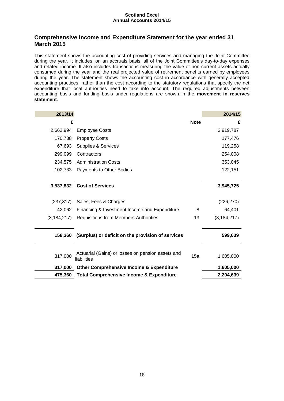# **Comprehensive Income and Expenditure Statement for the year ended 31 March 2015**

This statement shows the accounting cost of providing services and managing the Joint Committee during the year. It includes, on an accruals basis, all of the Joint Committee's day-to-day expenses and related income. It also includes transactions measuring the value of non-current assets actually consumed during the year and the real projected value of retirement benefits earned by employees during the year. The statement shows the accounting cost in accordance with generally accepted accounting practices, rather than the cost according to the statutory regulations that specify the net expenditure that local authorities need to take into account. The required adjustments between accounting basis and funding basis under regulations are shown in the **movement in reserves statement**.

| 2013/14       |                                                                  |             | 2014/15       |
|---------------|------------------------------------------------------------------|-------------|---------------|
| £             |                                                                  | <b>Note</b> | £             |
| 2,662,994     | <b>Employee Costs</b>                                            |             | 2,919,787     |
| 170,738       | <b>Property Costs</b>                                            |             | 177,476       |
| 67,693        | Supplies & Services                                              |             | 119,258       |
| 299,099       | Contractors                                                      |             | 254,008       |
| 234,575       | <b>Administration Costs</b>                                      |             | 353,045       |
| 102,733       | Payments to Other Bodies                                         |             | 122,151       |
|               |                                                                  |             |               |
| 3,537,832     | <b>Cost of Services</b>                                          |             | 3,945,725     |
|               |                                                                  |             |               |
| (237, 317)    | Sales, Fees & Charges                                            |             | (226, 270)    |
| 42,062        | Financing & Investment Income and Expenditure                    | 8           | 64,401        |
| (3, 184, 217) | <b>Requisitions from Members Authorities</b>                     | 13          | (3, 184, 217) |
|               |                                                                  |             |               |
| 158,360       | (Surplus) or deficit on the provision of services                |             | 599,639       |
|               |                                                                  |             |               |
| 317,000       | Actuarial (Gains) or losses on pension assets and<br>liabilities | 15a         | 1,605,000     |
| 317,000       | <b>Other Comprehensive Income &amp; Expenditure</b>              |             | 1,605,000     |
| 475,360       | <b>Total Comprehensive Income &amp; Expenditure</b>              |             | 2,204,639     |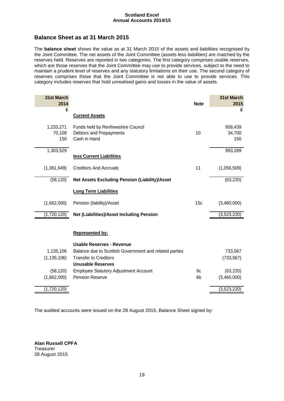# <span id="page-18-0"></span>**Balance Sheet as at 31 March 2015**

The **balance sheet** shows the value as at 31 March 2015 of the assets and liabilities recognised by the Joint Committee. The net assets of the Joint Committee (assets less liabilities) are matched by the reserves held. Reserves are reported in two categories. The first category comprises usable reserves, which are those reserves that the Joint Committee may use to provide services, subject to the need to maintain a prudent level of reserves and any statutory limitations on their use. The second category of reserves comprises those that the Joint Committee is not able to use to provide services. This category includes reserves that hold unrealised gains and losses in the value of assets.

| 31st March<br>2014  |                                                               | <b>Note</b>     | 31st March<br>2015 |
|---------------------|---------------------------------------------------------------|-----------------|--------------------|
| £                   |                                                               |                 | £                  |
|                     | <b>Current Assets</b>                                         |                 |                    |
| 1,233,271<br>70,108 | Funds held by Renfrewshire Council<br>Debtors and Prepayments | 10              | 958,439<br>34,700  |
| 150                 | Cash in Hand                                                  |                 | 150                |
| 1,303,529           |                                                               |                 | 993,289            |
|                     | less Current Liabilities                                      |                 |                    |
| (1,361,649)         | <b>Creditors And Accruals</b>                                 | 11              | (1,056,509)        |
| (58, 120)           | <b>Net Assets Excluding Pension (Liability)/Asset</b>         |                 | (63, 220)          |
|                     | <b>Long Term Liabilities</b>                                  |                 |                    |
| (1,662,000)         | Pension (liability)/Asset                                     | 15 <sub>c</sub> | (3,460,000)        |
| (1,720,120)         | Net (Liabilities)/Asset Including Pension                     |                 | (3,523,220)        |
|                     |                                                               |                 |                    |
|                     | <b>Represented by:</b>                                        |                 |                    |
|                     | <b>Usable Reserves - Revenue</b>                              |                 |                    |
| 1,135,106           | Balance due to Scottish Government and related parties        |                 | 733,567            |
| (1, 135, 106)       | <b>Transfer to Creditors</b>                                  |                 | (733, 567)         |
|                     | <b>Unusable Reserves</b>                                      |                 |                    |
| (58, 120)           | <b>Employee Statutory Adjustment Account</b>                  | 6с              | (63, 220)          |
| (1,662,000)         | Pension Reserve                                               | 6b              | (3,460,000)        |
| (1,720,120)         |                                                               |                 | (3,523,220)        |

The audited accounts were issued on the 28 August 2015, Balance Sheet signed by:

<span id="page-18-1"></span>**Alan Russell CPFA Treasurer** 28 August 2015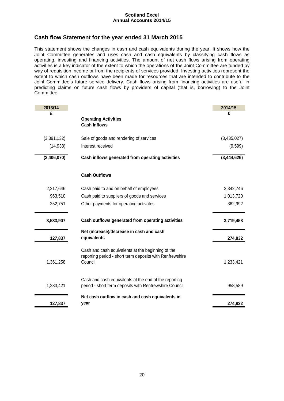# **Cash flow Statement for the year ended 31 March 2015**

This statement shows the changes in cash and cash equivalents during the year. It shows how the Joint Committee generates and uses cash and cash equivalents by classifying cash flows as operating, investing and financing activities. The amount of net cash flows arising from operating activities is a key indicator of the extent to which the operations of the Joint Committee are funded by way of requisition income or from the recipients of services provided. Investing activities represent the extent to which cash outflows have been made for resources that are intended to contribute to the Joint Committee's future service delivery. Cash flows arising from financing activities are useful in predicting claims on future cash flows by providers of capital (that is, borrowing) to the Joint Committee.

| 2013/14     |                                                                                                               | 2014/15     |
|-------------|---------------------------------------------------------------------------------------------------------------|-------------|
| £           |                                                                                                               | £           |
|             | <b>Operating Activities</b>                                                                                   |             |
|             | <b>Cash Inflows</b>                                                                                           |             |
| (3,391,132) | Sale of goods and rendering of services                                                                       | (3,435,027) |
| (14, 938)   | Interest received                                                                                             | (9,599)     |
| (3,406,070) | Cash inflows generated from operating activities                                                              | (3,444,626) |
|             | <b>Cash Outflows</b>                                                                                          |             |
| 2,217,646   | Cash paid to and on behalf of employees                                                                       | 2,342,746   |
| 963,510     | Cash paid to suppliers of goods and services                                                                  | 1,013,720   |
| 352,751     | Other payments for operating activates                                                                        | 362,992     |
| 3,533,907   | Cash outflows generated from operating activities                                                             | 3,719,458   |
|             | Net (increase)/decrease in cash and cash                                                                      |             |
| 127,837     | equivalents                                                                                                   | 274,832     |
|             | Cash and cash equivalents at the beginning of the<br>reporting period - short term deposits with Renfrewshire |             |
| 1,361,258   | Council                                                                                                       | 1,233,421   |
|             | Cash and cash equivalents at the end of the reporting                                                         |             |
| 1,233,421   | period - short term deposits with Renfrewshire Council                                                        | 958,589     |
|             | Net cash outflow in cash and cash equivalents in                                                              |             |
| 127,837     | year                                                                                                          | 274,832     |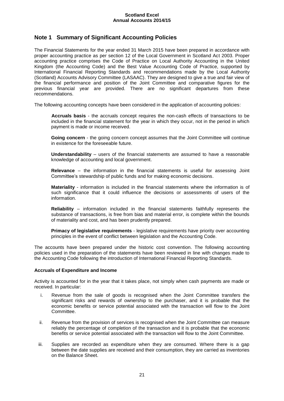# <span id="page-20-0"></span>**Note 1 Summary of Significant Accounting Policies**

The Financial Statements for the year ended 31 March 2015 have been prepared in accordance with proper accounting practice as per section 12 of the Local Government in Scotland Act 2003. Proper accounting practice comprises the Code of Practice on Local Authority Accounting in the United Kingdom (the Accounting Code) and the Best Value Accounting Code of Practice, supported by International Financial Reporting Standards and recommendations made by the Local Authority (Scotland) Accounts Advisory Committee (LASAAC). They are designed to give a true and fair view of the financial performance and position of the Joint Committee and comparative figures for the previous financial year are provided. There are no significant departures from these recommendations.

The following accounting concepts have been considered in the application of accounting policies:

**Accruals basis** - the accruals concept requires the non-cash effects of transactions to be included in the financial statement for the year in which they occur, not in the period in which payment is made or income received.

**Going concern** - the going concern concept assumes that the Joint Committee will continue in existence for the foreseeable future.

**Understandability** – users of the financial statements are assumed to have a reasonable knowledge of accounting and local government.

**Relevance** – the information in the financial statements is useful for assessing Joint Committee's stewardship of public funds and for making economic decisions.

**Materiality** - information is included in the financial statements where the information is of such significance that it could influence the decisions or assessments of users of the information.

**Reliability** – information included in the financial statements faithfully represents the substance of transactions, is free from bias and material error, is complete within the bounds of materiality and cost, and has been prudently prepared.

**Primacy of legislative requirements** - legislative requirements have priority over accounting principles in the event of conflict between legislation and the Accounting Code.

The accounts have been prepared under the historic cost convention. The following accounting policies used in the preparation of the statements have been reviewed in line with changes made to the Accounting Code following the introduction of International Financial Reporting Standards.

#### **Accruals of Expenditure and Income**

Activity is accounted for in the year that it takes place, not simply when cash payments are made or received. In particular:

- i. Revenue from the sale of goods is recognised when the Joint Committee transfers the significant risks and rewards of ownership to the purchaser, and it is probable that the economic benefits or service potential associated with the transaction will flow to the Joint Committee.
- ii. Revenue from the provision of services is recognised when the Joint Committee can measure reliably the percentage of completion of the transaction and it is probable that the economic benefits or service potential associated with the transaction will flow to the Joint Committee.
- iii. Supplies are recorded as expenditure when they are consumed. Where there is a gap between the date supplies are received and their consumption, they are carried as inventories on the Balance Sheet.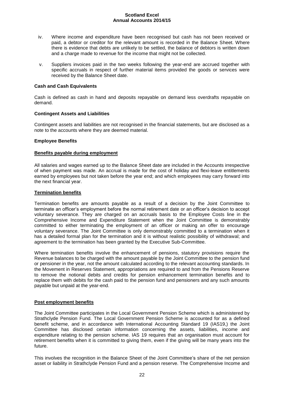- iv. Where income and expenditure have been recognised but cash has not been received or paid, a debtor or creditor for the relevant amount is recorded in the Balance Sheet. Where there is evidence that debts are unlikely to be settled, the balance of debtors is written down and a charge made to revenue for the income that might not be collected.
- v. Suppliers invoices paid in the two weeks following the year-end are accrued together with specific accruals in respect of further material items provided the goods or services were received by the Balance Sheet date.

#### **Cash and Cash Equivalents**

Cash is defined as cash in hand and deposits repayable on demand less overdrafts repayable on demand.

#### **Contingent Assets and Liabilities**

Contingent assets and liabilities are not recognised in the financial statements, but are disclosed as a note to the accounts where they are deemed material.

#### **Employee Benefits**

#### **Benefits payable during employment**

All salaries and wages earned up to the Balance Sheet date are included in the Accounts irrespective of when payment was made. An accrual is made for the cost of holiday and flexi-leave entitlements earned by employees but not taken before the year end; and which employees may carry forward into the next financial year.

#### **Termination benefits**

Termination benefits are amounts payable as a result of a decision by the Joint Committee to terminate an officer's employment before the normal retirement date or an officer's decision to accept voluntary severance. They are charged on an accruals basis to the Employee Costs line in the Comprehensive Income and Expenditure Statement when the Joint Committee is demonstrably committed to either terminating the employment of an officer or making an offer to encourage voluntary severance. The Joint Committee is only demonstrably committed to a termination when it has a detailed formal plan for the termination and it is without realistic possibility of withdrawal; and agreement to the termination has been granted by the Executive Sub-Committee.

Where termination benefits involve the enhancement of pensions, statutory provisions require the Revenue balances to be charged with the amount payable by the Joint Committee to the pension fund or pensioner in the year, not the amount calculated according to the relevant accounting standards. In the Movement in Reserves Statement, appropriations are required to and from the Pensions Reserve to remove the notional debits and credits for pension enhancement termination benefits and to replace them with debits for the cash paid to the pension fund and pensioners and any such amounts payable but unpaid at the year-end.

#### **Post employment benefits**

The Joint Committee participates in the Local Government Pension Scheme which is administered by Strathclyde Pension Fund. The Local Government Pension Scheme is accounted for as a defined benefit scheme, and in accordance with International Accounting Standard 19 (IAS19,) the Joint Committee has disclosed certain information concerning the assets, liabilities, income and expenditure relating to the pension scheme. IAS 19 requires that an organisation must account for retirement benefits when it is committed to giving them, even if the giving will be many years into the future.

This involves the recognition in the Balance Sheet of the Joint Committee's share of the net pension asset or liability in Strathclyde Pension Fund and a pension reserve. The Comprehensive Income and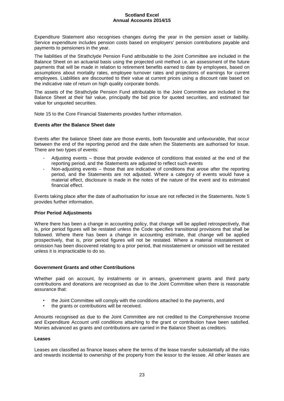Expenditure Statement also recognises changes during the year in the pension asset or liability. Service expenditure includes pension costs based on employers' pension contributions payable and payments to pensioners in the year.

The liabilities of the Strathclyde Pension Fund attributable to the Joint Committee are included in the Balance Sheet on an actuarial basis using the projected unit method i.e. an assessment of the future payments that will be made in relation to retirement benefits earned to date by employees, based on assumptions about mortality rates, employee turnover rates and projections of earnings for current employees. Liabilities are discounted to their value at current prices using a discount rate based on the indicative rate of return on high quality corporate bonds.

The assets of the Strathclyde Pension Fund attributable to the Joint Committee are included in the Balance Sheet at their fair value, principally the bid price for quoted securities, and estimated fair value for unquoted securities.

Note 15 to the Core Financial Statements provides further information.

#### **Events after the Balance Sheet date**

Events after the balance Sheet date are those events, both favourable and unfavourable, that occur between the end of the reporting period and the date when the Statements are authorised for issue. There are two types of events:

- Adjusting events those that provide evidence of conditions that existed at the end of the reporting period, and the Statements are adjusted to reflect such events
- Non-adjusting events those that are indicative of conditions that arose after the reporting period, and the Statements are not adjusted. Where a category of events would have a material effect, disclosure is made in the notes of the nature of the event and its estimated financial effect.

Events taking place after the date of authorisation for issue are not reflected in the Statements. Note 5 provides further information.

#### **Prior Period Adjustments**

Where there has been a change in accounting policy, that change will be applied retrospectively, that is, prior period figures will be restated unless the Code specifies transitional provisions that shall be followed. Where there has been a change in accounting estimate, that change will be applied prospectively, that is, prior period figures will not be restated. Where a material misstatement or omission has been discovered relating to a prior period, that misstatement or omission will be restated unless it is impracticable to do so.

#### **Government Grants and other Contributions**

Whether paid on account, by instalments or in arrears, government grants and third party contributions and donations are recognised as due to the Joint Committee when there is reasonable assurance that:

- the Joint Committee will comply with the conditions attached to the payments, and
- the grants or contributions will be received.

Amounts recognised as due to the Joint Committee are not credited to the Comprehensive Income and Expenditure Account until conditions attaching to the grant or contribution have been satisfied. Monies advanced as grants and contributions are carried in the Balance Sheet as creditors.

#### **Leases**

Leases are classified as finance leases where the terms of the lease transfer substantially all the risks and rewards incidental to ownership of the property from the lessor to the lessee. All other leases are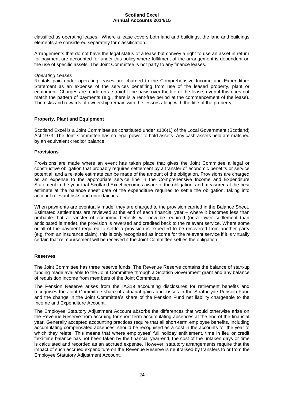classified as operating leases. Where a lease covers both land and buildings, the land and buildings elements are considered separately for classification.

Arrangements that do not have the legal status of a lease but convey a right to use an asset in return for payment are accounted for under this policy where fulfilment of the arrangement is dependent on the use of specific assets. The Joint Committee is not party to any finance leases.

#### *Operating Leases*

Rentals paid under operating leases are charged to the Comprehensive Income and Expenditure Statement as an expense of the services benefiting from use of the leased property, plant or equipment. Charges are made on a straight-line basis over the life of the lease, even if this does not match the pattern of payments (e.g., there is a rent-free period at the commencement of the lease). The risks and rewards of ownership remain with the lessors along with the title of the property.

#### **Property, Plant and Equipment**

Scotland Excel is a Joint Committee as constituted under s106(1) of the Local Government (Scotland) Act 1973. The Joint Committee has no legal power to hold assets. Any cash assets held are matched by an equivalent creditor balance.

#### **Provisions**

Provisions are made where an event has taken place that gives the Joint Committee a legal or constructive obligation that probably requires settlement by a transfer of economic benefits or service potential, and a reliable estimate can be made of the amount of the obligation. Provisions are charged as an expense to the appropriate service line in the Comprehensive Income and Expenditure Statement in the year that Scotland Excel becomes aware of the obligation, and measured at the best estimate at the balance sheet date of the expenditure required to settle the obligation, taking into account relevant risks and uncertainties.

When payments are eventually made, they are charged to the provision carried in the Balance Sheet. Estimated settlements are reviewed at the end of each financial year – where it becomes less than probable that a transfer of economic benefits will now be required (or a lower settlement than anticipated is made), the provision is reversed and credited back to the relevant service. Where some or all of the payment required to settle a provision is expected to be recovered from another party (e.g. from an insurance claim), this is only recognised as income for the relevant service if it is virtually certain that reimbursement will be received if the Joint Committee settles the obligation.

#### **Reserves**

The Joint Committee has three reserve funds. The Revenue Reserve contains the balance of start-up funding made available to the Joint Committee through a Scottish Government grant and any balance of requisition income from members of the Joint Committee.

The Pension Reserve arises from the IAS19 accounting disclosures for retirement benefits and recognises the Joint Committee share of actuarial gains and losses in the Strathclyde Pension Fund and the change in the Joint Committee's share of the Pension Fund net liability chargeable to the Income and Expenditure Account.

The Employee Statutory Adjustment Account absorbs the differences that would otherwise arise on the Revenue Reserve from accruing for short term accumulating absences at the end of the financial year. Generally accepted accounting practices require that all short-term employee benefits, including accumulating compensated absences, should be recognised as a cost in the accounts for the year to which they relate. This means that where employees' full holiday entitlement, time in lieu or credit flexi-time balance has not been taken by the financial year-end, the cost of the untaken days or time is calculated and recorded as an accrued expense. However, statutory arrangements require that the impact of such accrued expenditure on the Revenue Reserve is neutralised by transfers to or from the Employee Statutory Adjustment Account.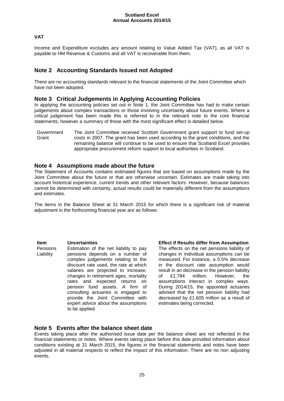#### **VAT**

Income and Expenditure excludes any amount relating to Value Added Tax (VAT), as all VAT is payable to HM Revenue & Customs and all VAT is recoverable from them.

# <span id="page-24-0"></span>**Note 2 Accounting Standards Issued not Adopted**

There are no accounting standards relevant to the financial statements of the Joint Committee which have not been adopted.

#### <span id="page-24-1"></span>**Note 3 Critical Judgements in Applying Accounting Policies**

In applying the accounting policies set out in Note 1, the Joint Committee has had to make certain judgements about complex transactions or those involving uncertainty about future events. Where a critical judgement has been made this is referred to in the relevant note to the core financial statements; however a summary of those with the most significant effect is detailed below.

Government **Grant** The Joint Committee received Scottish Government grant support to fund set-up costs in 2007. The grant has been used according to the grant conditions, and the remaining balance will continue to be used to ensure that Scotland Excel provides appropriate procurement reform support to local authorities in Scotland.

#### <span id="page-24-2"></span>**Note 4 Assumptions made about the future**

The Statement of Accounts contains estimated figures that are based on assumptions made by the Joint Committee about the future or that are otherwise uncertain. Estimates are made taking into account historical experience, current trends and other relevant factors. However, because balances cannot be determined with certainty, actual results could be materially different from the assumptions and estimates.

The items in the Balance Sheet at 31 March 2015 for which there is a significant risk of material adjustment in the forthcoming financial year are as follows:

Pensions Liability Estimation of the net liability to pay pensions depends on a number of complex judgements relating to the discount rate used, the rate at which salaries are projected to increase, changes in retirement ages, mortality rates and expected returns on pension fund assets. A firm of consulting actuaries is engaged to provide the Joint Committee with expert advice about the assumptions to be applied.

**Item Uncertainties Effect if Results differ from Assumption** The effects on the net pensions liability of changes in individual assumptions can be measured. For instance, a 0.5% decrease in the discount rate assumption would result in an decrease in the pension liability of £1.784 million. However, the assumptions interact in complex ways. During 2014/15, the appointed actuaries advised that the net pension liability had decreased by £1.605 million as a result of estimates being corrected.

#### <span id="page-24-3"></span>**Note 5 Events after the balance sheet date**

Events taking place after the authorised issue date per the balance sheet are not reflected in the financial statements or notes. Where events taking place before this date provided information about conditions existing at 31 March 2015, the figures in the financial statements and notes have been adjusted in all material respects to reflect the impact of this information. There are no non adjusting events.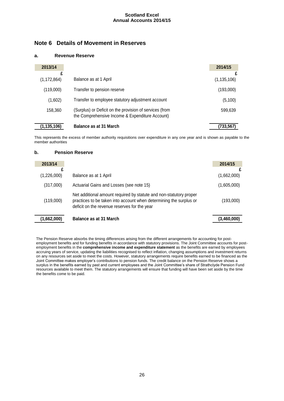# <span id="page-25-0"></span>**Note 6 Details of Movement in Reserves**

#### **a. Revenue Reserve**

| 2013/14            |                                                                                                            | 2014/15            |
|--------------------|------------------------------------------------------------------------------------------------------------|--------------------|
| £<br>(1, 172, 864) | Balance as at 1 April                                                                                      | £<br>(1, 135, 106) |
|                    |                                                                                                            |                    |
| (119,000)          | Transfer to pension reserve                                                                                | (193,000)          |
| (1,602)            | Transfer to employee statutory adjustment account                                                          | (5,100)            |
| 158,360            | (Surplus) or Deficit on the provision of services (from<br>the Comprehensive Income & Expenditure Account) | 599,639            |
| (1, 135, 106)      | <b>Balance as at 31 March</b>                                                                              | (733,567)          |

This represents the excess of member authority requisitions over expenditure in any one year and is shown as payable to the member authorities

#### **b. Pension Reserve**

| 2013/14     |                                                                                                                                                                                          | 2014/15     |
|-------------|------------------------------------------------------------------------------------------------------------------------------------------------------------------------------------------|-------------|
| (1,226,000) | Balance as at 1 April                                                                                                                                                                    | (1,662,000) |
| (317,000)   | Actuarial Gains and Losses (see note 15)                                                                                                                                                 | (1,605,000) |
| (119,000)   | Net additional amount required by statute and non-statutory proper<br>practices to be taken into account when determining the surplus or<br>deficit on the revenue reserves for the year | (193,000)   |
| (1,662,000) | <b>Balance as at 31 March</b>                                                                                                                                                            | (3,460,000) |

The Pension Reserve absorbs the timing differences arising from the different arrangements for accounting for postemployment benefits and for funding benefits in accordance with statutory provisions. The Joint Committee accounts for postemployment benefits in the **comprehensive income and expenditure statement** as the benefits are earned by employees accruing years of service, updating the liabilities recognised to reflect inflation, changing assumptions and investment returns on any resources set aside to meet the costs. However, statutory arrangements require benefits earned to be financed as the Joint Committee makes employer's contributions to pension funds. The credit balance on the Pension Reserve shows a surplus in the benefits earned by past and current employees and the Joint Committee's share of Strathclyde Pension Fund resources available to meet them. The statutory arrangements will ensure that funding will have been set aside by the time the benefits come to be paid.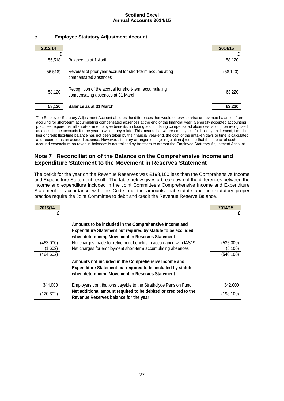#### **c. Employee Statutory Adjustment Account**

| 2013/14   |                                                                                             | 2014/15   |
|-----------|---------------------------------------------------------------------------------------------|-----------|
| 56,518    | Balance as at 1 April                                                                       | 58,120    |
| (56, 518) | Reversal of prior year accrual for short-term accumulating<br>compensated absences          | (58, 120) |
| 58,120    | Recognition of the accrual for short-term accumulating<br>compensating absences at 31 March | 63.220    |
| 58,120    | <b>Balance as at 31 March</b>                                                               | 63.220    |

The Employee Statutory Adjustment Account absorbs the differences that would otherwise arise on revenue balances from accruing for short-term accumulating compensated absences at the end of the financial year. Generally accepted accounting practices require that all short-term employee benefits, including accumulating compensated absences, should be recognised as a cost in the accounts for the year to which they relate. This means that where employees' full holiday entitlement, time in lieu or credit flexi-time balance has not been taken by the financial year-end, the cost of the untaken days or time is calculated and recorded as an accrued expense. However, statutory arrangements [or regulations] require that the impact of such accrued expenditure on revenue balances is neutralised by transfers to or from the Employee Statutory Adjustment Account.

# <span id="page-26-0"></span>**Note 7 Reconciliation of the Balance on the Comprehensive Income and Expenditure Statement to the Movement in Reserves Statement**

The deficit for the year on the Revenue Reserves was £198,100 less than the Comprehensive Income and Expenditure Statement result. The table below gives a breakdown of the differences between the income and expenditure included in the Joint Committee's Comprehensive Income and Expenditure Statement in accordance with the Code and the amounts that statute and non-statutory proper practice require the Joint Committee to debit and credit the Revenue Reserve Balance.

<span id="page-26-1"></span>

| 2013/14<br>£ |                                                                                                                                                                                  | 2014/15<br>£ |
|--------------|----------------------------------------------------------------------------------------------------------------------------------------------------------------------------------|--------------|
|              | Amounts to be included in the Comprehensive Income and<br><b>Expenditure Statement but required by statute to be excluded</b><br>when determining Movement in Reserves Statement |              |
| (463,000)    | Net charges made for retirement benefits in accordance with IAS19                                                                                                                | (535,000)    |
| (1,602)      | Net charges for employment short-term accumulating absences                                                                                                                      | (5, 100)     |
| (464,602)    |                                                                                                                                                                                  | (540, 100)   |
|              | Amounts not included in the Comprehensive Income and<br><b>Expenditure Statement but required to be included by statute</b><br>when determining Movement in Reserves Statement   |              |
| 344.000      | Employers contributions payable to the Strathclyde Pension Fund                                                                                                                  | 342,000      |
| (120, 602)   | Net additional amount required to be debited or credited to the<br>Revenue Reserves balance for the year                                                                         | (198, 100)   |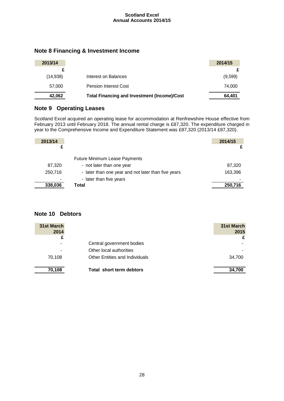# **Note 8 Financing & Investment Income**

| 2013/14  |                                                     | 2014/15 |
|----------|-----------------------------------------------------|---------|
|          |                                                     |         |
| (14,938) | Interest on Balances                                | (9,599) |
| 57,000   | Pension Interest Cost                               | 74.000  |
| 42,062   | <b>Total Financing and Investment (Income)/Cost</b> | 64,401  |

# **Note 9 Operating Leases**

Scotland Excel acquired an operating lease for accommodation at Renfrewshire House effective from February 2013 until February 2018. The annual rental charge is £87,320. The expenditure charged in year to the Comprehensive Income and Expenditure Statement was £87,320 (2013/14 £87,320).

| 2013/14 |                                                                                | 2014/15 |
|---------|--------------------------------------------------------------------------------|---------|
|         | <b>Future Minimum Lease Payments</b>                                           |         |
| 87,320  | - not later than one year                                                      | 87,320  |
| 250,716 | - later than one year and not later than five years<br>- later than five years | 163,396 |
| 338,036 | Total                                                                          | 250,716 |

# <span id="page-27-0"></span>**Note 10 Debtors**

<span id="page-27-1"></span>

| 31st March |                                       | 31st March |
|------------|---------------------------------------|------------|
| 2014       |                                       | 2015       |
| £          |                                       | £          |
| ٠          | Central government bodies             |            |
| ۰          | Other local authorities               |            |
| 70,108     | <b>Other Entities and Individuals</b> | 34,700     |
| 70,108     | Total short term debtors              | 34,700     |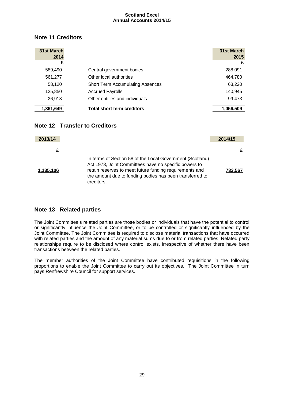# **Note 11 Creditors**

| 31st March<br>2014 |                                         | 31st March<br>2015 |
|--------------------|-----------------------------------------|--------------------|
| £                  |                                         | £                  |
| 589,490            | Central government bodies               | 288,091            |
| 561,277            | Other local authorities                 | 464,780            |
| 58,120             | <b>Short Term Accumulating Absences</b> | 63,220             |
| 125,850            | <b>Accrued Payrolls</b>                 | 140,945            |
| 26,913             | Other entities and individuals          | 99,473             |
| 1,361,649          | <b>Total short term creditors</b>       | 1,056,509          |

# <span id="page-28-0"></span>**Note 12 Transfer to Creditors**

<span id="page-28-1"></span>

| 2013/14   |                                                                                                                                                                                                                                                         | 2014/15 |
|-----------|---------------------------------------------------------------------------------------------------------------------------------------------------------------------------------------------------------------------------------------------------------|---------|
| £         |                                                                                                                                                                                                                                                         | £       |
| 1,135,106 | In terms of Section 58 of the Local Government (Scotland)<br>Act 1973, Joint Committees have no specific powers to<br>retain reserves to meet future funding requirements and<br>the amount due to funding bodies has been transferred to<br>creditors. | 733.567 |

# **Note 13 Related parties**

The Joint Committee's related parties are those bodies or individuals that have the potential to control or significantly influence the Joint Committee, or to be controlled or significantly influenced by the Joint Committee. The Joint Committee is required to disclose material transactions that have occurred with related parties and the amount of any material sums due to or from related parties. Related party relationships require to be disclosed where control exists, irrespective of whether there have been transactions between the related parties.

The member authorities of the Joint Committee have contributed requisitions in the following proportions to enable the Joint Committee to carry out its objectives. The Joint Committee in turn pays Renfrewshire Council for support services.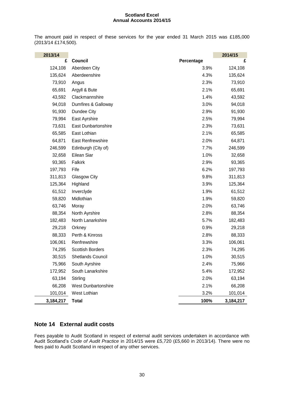The amount paid in respect of these services for the year ended 31 March 2015 was £185,000 (2013/14 £174,500).

| 2013/14   |                            |            | 2014/15   |
|-----------|----------------------------|------------|-----------|
| £         | Council                    | Percentage | £         |
| 124,108   | Aberdeen City              | 3.9%       | 124,108   |
| 135,624   | Aberdeenshire              | 4.3%       | 135,624   |
| 73,910    | Angus                      | 2.3%       | 73,910    |
| 65,691    | Argyll & Bute              | 2.1%       | 65,691    |
| 43,592    | Clackmannshire             | 1.4%       | 43,592    |
| 94,018    | Dumfires & Galloway        | 3.0%       | 94,018    |
| 91,930    | Dundee City                | 2.9%       | 91,930    |
| 79,994    | East Ayrshire              | 2.5%       | 79,994    |
| 73,631    | <b>East Dunbartonshire</b> | 2.3%       | 73,631    |
| 65,585    | East Lothian               | 2.1%       | 65,585    |
| 64,871    | East Renfrewshire          | 2.0%       | 64,871    |
| 246,599   | Edinburgh (City of)        | 7.7%       | 246,599   |
| 32,658    | Eilean Siar                | 1.0%       | 32,658    |
| 93,365    | Falkirk                    | 2.9%       | 93,365    |
| 197,793   | Fife                       | 6.2%       | 197,793   |
| 311,813   | Glasgow City               | 9.8%       | 311,813   |
| 125,364   | Highland                   | 3.9%       | 125,364   |
| 61,512    | Inverclyde                 | 1.9%       | 61,512    |
| 59,820    | Midlothian                 | 1.9%       | 59,820    |
| 63,746    | Moray                      | 2.0%       | 63,746    |
| 88,354    | North Ayrshire             | 2.8%       | 88,354    |
| 182,483   | North Lanarkshire          | 5.7%       | 182,483   |
| 29,218    | Orkney                     | 0.9%       | 29,218    |
| 88,333    | Perth & Kinross            | 2.8%       | 88,333    |
| 106,061   | Renfrewshire               | 3.3%       | 106,061   |
| 74,295    | <b>Scottish Borders</b>    | 2.3%       | 74,295    |
| 30,515    | Shetlands Council          | 1.0%       | 30,515    |
| 75,966    | South Ayrshire             | 2.4%       | 75,966    |
| 172,952   | South Lanarkshire          | 5.4%       | 172,952   |
| 63,194    | Stirling                   | 2.0%       | 63,194    |
| 66,208    | <b>West Dunbartonshire</b> | 2.1%       | 66,208    |
| 101,014   | West Lothian               | 3.2%       | 101,014   |
| 3,184,217 | <b>Total</b>               | 100%       | 3,184,217 |

# <span id="page-29-0"></span>**Note 14 External audit costs**

Fees payable to Audit Scotland in respect of external audit services undertaken in accordance with Audit Scotland's *Code of Audit Practice* in 2014/15 were £5,720 (£5,660 in 2013/14). There were no fees paid to Audit Scotland in respect of any other services.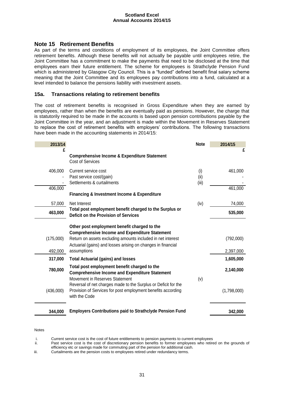# **Note 15 Retirement Benefits**

As part of the terms and conditions of employment of its employees, the Joint Committee offers retirement benefits. Although these benefits will not actually be payable until employees retire, the Joint Committee has a commitment to make the payments that need to be disclosed at the time that employees earn their future entitlement. The scheme for employees is Strathclyde Pension Fund which is administered by Glasgow City Council. This is a "funded" defined benefit final salary scheme meaning that the Joint Committee and its employees pay contributions into a fund, calculated at a level intended to balance the pensions liability with investment assets.

#### **15a. Transactions relating to retirement benefits**

The cost of retirement benefits is recognised in Gross Expenditure when they are earned by employees, rather than when the benefits are eventually paid as pensions. However, the charge that is statutorily required to be made in the accounts is based upon pension contributions payable by the Joint Committee in the year, and an adjustment is made within the Movement in Reserves Statement to replace the cost of retirement benefits with employers' contributions. The following transactions have been made in the accounting statements in 2014/15:

| 2013/14   |                                                                                                                                                                                                                                      | <b>Note</b>          | 2014/15     |
|-----------|--------------------------------------------------------------------------------------------------------------------------------------------------------------------------------------------------------------------------------------|----------------------|-------------|
| £         | <b>Comprehensive Income &amp; Expenditure Statement</b><br><b>Cost of Services</b>                                                                                                                                                   |                      | £           |
| 406,000   | Current service cost<br>Past service cost/(gain)<br>Settlements & curtailments                                                                                                                                                       | (i)<br>(ii)<br>(iii) | 461,000     |
| 406,000   | <b>Financing &amp; Investment Income &amp; Expenditure</b>                                                                                                                                                                           |                      | 461,000     |
| 57,000    | Net Interest                                                                                                                                                                                                                         | (iv)                 | 74,000      |
| 463,000   | Total post employment benefit charged to the Surplus or<br><b>Deficit on the Provision of Services</b>                                                                                                                               |                      | 535,000     |
| (175,000) | Other post employment benefit charged to the<br><b>Comprehensive Income and Expenditure Statement</b><br>Return on assets excluding amounts included in net interest<br>Actuarial (gains) and losses arising on changes in financial |                      | (792,000)   |
| 492,000   | assumptions                                                                                                                                                                                                                          |                      | 2,397,000   |
| 317,000   | <b>Total Actuarial (gains) and losses</b>                                                                                                                                                                                            |                      | 1,605,000   |
| 780,000   | Total post employment benefit charged to the<br><b>Comprehensive Income and Expenditure Statement</b>                                                                                                                                |                      | 2,140,000   |
| (436,000) | Movement in Reserves Statement<br>Reversal of net charges made to the Surplus or Deficit for the<br>Provision of Services for post employment benefits according<br>with the Code                                                    | (v)                  | (1,798,000) |
| 344,000   | <b>Employers Contributions paid to Strathclyde Pension Fund</b>                                                                                                                                                                      |                      | 342,000     |

#### Notes

i. Current service cost is the cost of future entitlements to pension payments to current employees

ii. Past service cost is the cost of discretionary pension benefits to former employees who retired on the grounds of efficiency etc or savings made for commuting part of the pension for additional cash.

iii. Curtailments are the pension costs to employees retired under redundancy terms.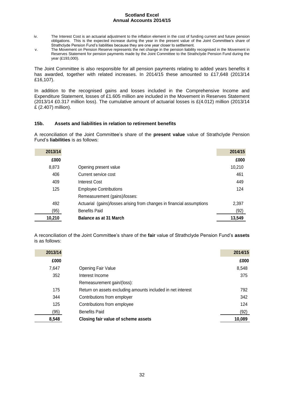- iv. The Interest Cost is an actuarial adjustment to the inflation element in the cost of funding current and future pension obligations. This is the expected increase during the year in the present value of the Joint Committee's share of Strathclyde Pension Fund's liabilities because they are one year closer to settlement.
- v. The Movement on Pension Reserve represents the net change in the pension liability recognised in the Movement in Reserves Statement for pension payments made by the Joint Committee to the Strathclyde Pension Fund during the year (£193,000).

The Joint Committee is also responsible for all pension payments relating to added years benefits it has awarded, together with related increases. In 2014/15 these amounted to £17,648 (2013/14 £16,107).

In addition to the recognised gains and losses included in the Comprehensive Income and Expenditure Statement, losses of £1.605 million are included in the Movement in Reserves Statement (2013/14 £0.317 million loss). The cumulative amount of actuarial losses is £(4.012) million (2013/14 £ (2.407) million).

#### **15b. Assets and liabilities in relation to retirement benefits**

A reconciliation of the Joint Committee's share of the **present value** value of Strathclyde Pension Fund's **liabilities** is as follows:

| 2013/14 |                                                                        | 2014/15 |
|---------|------------------------------------------------------------------------|---------|
| £000    |                                                                        | £000    |
| 8,873   | Opening present value                                                  | 10,210  |
| 406     | Current service cost                                                   | 461     |
| 409     | <b>Interest Cost</b>                                                   | 449     |
| 125     | <b>Employee Contributions</b>                                          | 124     |
|         | Remeasurement (gains)/losses:                                          |         |
| 492     | Actuarial (gains)/losses arising from changes in financial assumptions | 2,397   |
| (95)    | <b>Benefits Paid</b>                                                   | (92)    |
| 10,210  | Balance as at 31 March                                                 | 13,549  |

A reconciliation of the Joint Committee's share of the **fair** value of Strathclyde Pension Fund's **assets** is as follows:

| 2013/14 |                                                             | 2014/15 |
|---------|-------------------------------------------------------------|---------|
| £000    |                                                             | £000    |
| 7,647   | <b>Opening Fair Value</b>                                   | 8,548   |
| 352     | Interest Income                                             | 375     |
|         | Remeasurement gain/(loss):                                  |         |
| 175     | Return on assets excluding amounts included in net interest | 792     |
| 344     | Contributions from employer                                 | 342     |
| 125     | Contributions from employee                                 | 124     |
| (95)    | <b>Benefits Paid</b>                                        | (92)    |
| 8,548   | Closing fair value of scheme assets                         | 10,089  |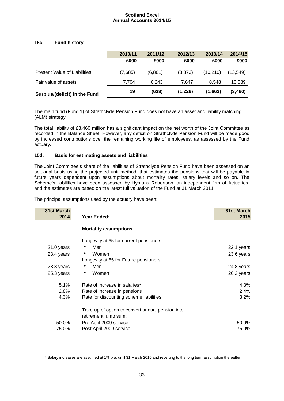#### **15c. Fund history**

|                                     | 2010/11 | 2011/12 | 2012/13 | 2013/14   | 2014/15  |
|-------------------------------------|---------|---------|---------|-----------|----------|
|                                     | £000    | £000    | £000    | £000      | £000     |
| <b>Present Value of Liabilities</b> | (7,685) | (6,881) | (8,873) | (10, 210) | (13,549) |
| Fair value of assets                | 7.704   | 6.243   | 7.647   | 8.548     | 10,089   |
| Surplus/(deficit) in the Fund       | 19      | (638)   | (1,226) | (1,662)   | (3,460)  |

The main fund (Fund 1) of Strathclyde Pension Fund does not have an asset and liability matching (ALM) strategy.

The total liability of £3.460 million has a significant impact on the net worth of the Joint Committee as recorded in the Balance Sheet. However, any deficit on Strathclyde Pension Fund will be made good by increased contributions over the remaining working life of employees, as assessed by the Fund actuary.

#### **15d. Basis for estimating assets and liabilities**

The Joint Committee's share of the liabilities of Strathclyde Pension Fund have been assessed on an actuarial basis using the projected unit method, that estimates the pensions that will be payable in future years dependent upon assumptions about mortality rates, salary levels and so on. The Scheme's liabilities have been assessed by Hymans Robertson, an independent firm of Actuaries, and the estimates are based on the latest full valuation of the Fund at 31 March 2011.

The principal assumptions used by the actuary have been:

| 31st March<br>2014 | Year Ended:                                                              | 31st March<br>2015 |
|--------------------|--------------------------------------------------------------------------|--------------------|
|                    | <b>Mortality assumptions</b>                                             |                    |
|                    | Longevity at 65 for current pensioners                                   |                    |
| 21.0 years         | Men                                                                      | 22.1 years         |
| 23.4 years         | Women<br>۰                                                               | 23.6 years         |
|                    | Longevity at 65 for Future pensioners                                    |                    |
| 23.3 years         | Men                                                                      | 24.8 years         |
| 25.3 years         | Women<br>٠                                                               | 26.2 years         |
| 5.1%               | Rate of increase in salaries*                                            | 4.3%               |
| 2.8%               | Rate of increase in pensions                                             | 2.4%               |
| 4.3%               | Rate for discounting scheme liabilities                                  | 3.2%               |
|                    | Take-up of option to convert annual pension into<br>retirement lump sum: |                    |
| 50.0%              | Pre April 2009 service                                                   | 50.0%              |
| 75.0%              | Post April 2009 service                                                  | 75.0%              |

\* Salary increases are assumed at 1% p.a. until 31 March 2015 and reverting to the long term assumption thereafter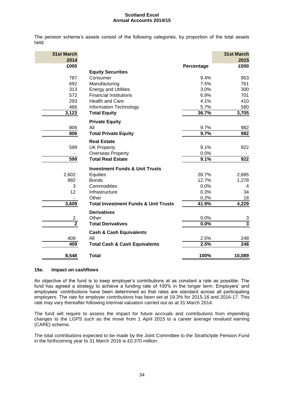The pension scheme's assets consist of the following categories, by proportion of the total assets held:

| 31st March<br>2014 |                                                 |            | 31st March<br>2015 |
|--------------------|-------------------------------------------------|------------|--------------------|
| £000               |                                                 | Percentage | £000               |
|                    | <b>Equity Securities</b>                        |            |                    |
| 787                | Consumer                                        | 9.4%       | 953                |
| 692                | Manufacturing                                   | 7.5%       | 761                |
| 313                | <b>Energy and Utilities</b>                     | 3.0%       | 300                |
| 572                | <b>Financial Institutions</b>                   | 6.9%       | 701                |
| 293                | <b>Health and Care</b>                          | 4.1%       | 410                |
| 466                | <b>Information Technology</b>                   | 5.7%       | 580                |
| 3,123              | <b>Total Equity</b>                             | 36.7%      | 3,705              |
|                    | <b>Private Equity</b>                           |            |                    |
| 806                | All                                             | 9.7%       | 982                |
| 806                | <b>Total Private Equity</b>                     | 9.7%       | 982                |
|                    | <b>Real Estate</b>                              |            |                    |
| 599                | <b>UK Property</b>                              | 9.1%       | 922                |
|                    | <b>Overseas Property</b>                        | 0.0%       |                    |
| 599                | <b>Total Real Estate</b>                        | 9.1%       | 922                |
|                    | <b>Investment Funds &amp; Unit Trusts</b>       |            |                    |
| 2,602              | Equities                                        | 28.7%      | 2,895              |
| 992                | <b>Bonds</b>                                    | 12.7%      | 1,278              |
| 3                  | Commodities                                     | 0.0%       | 4                  |
| 12                 | Infrastructure                                  | 0.3%       | 34                 |
|                    | Other                                           | 0.2%       | 18                 |
| 3,609              | <b>Total Investment Funds &amp; Unit Trusts</b> | 41.9%      | 4,229              |
|                    | <b>Derivatives</b>                              |            |                    |
| $\overline{c}$     | Other                                           | 0.0%       |                    |
| $\overline{2}$     | <b>Total Derivatives</b>                        | 0.0%       | $\frac{3}{3}$      |
|                    | <b>Cash &amp; Cash Equivalents</b>              |            |                    |
| 409                | All                                             | 2.5%       | 248                |
| 409                | <b>Total Cash &amp; Cash Equivalents</b>        | 2.5%       | 248                |
| 8,548              | <b>Total</b>                                    | 100%       | 10,089             |

#### **15e. Impact on cashflows**

An objective of the fund is to keep employer's contributions at as constant a rate as possible. The fund has agreed a strategy to achieve a funding rate of 100% in the longer term. Employers' and employees' contributions have been determined so that rates are standard across all participating employers. The rate for employer contributions has been set at 19.3% for 2015-16 and 2016-17. This rate may vary thereafter following triennial valuation carried out as at 31 March 2014.

The fund will require to assess the impact for future accruals and contributions from impending changes to the LGPS such as the move from 1 April 2015 to a career average revalued earning (CARE) scheme.

The total contributions expected to be made by the Joint Committee to the Strathclyde Pension Fund in the forthcoming year to 31 March 2016 is £0.370 million.